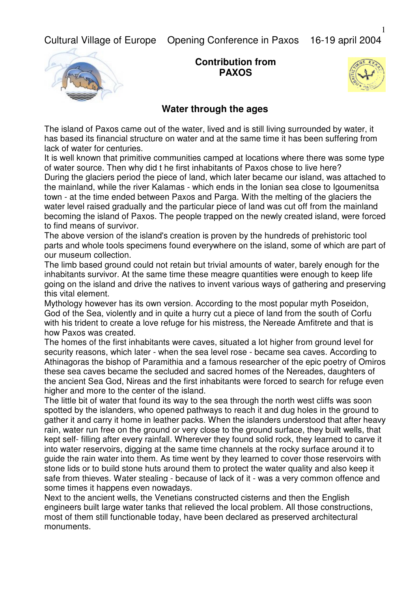Cultural Village of Europe Opening Conference in Paxos 16-19 april 2004



**Contribution from PAXOS**



## **Water through the ages**

The island of Paxos came out of the water, lived and is still living surrounded by water, it has based its financial structure on water and at the same time it has been suffering from lack of water for centuries.

It is well known that primitive communities camped at locations where there was some type of water source. Then why did t he first inhabitants of Paxos chose to live here? During the glaciers period the piece of land, which later became our island, was attached to the mainland, while the river Kalamas - which ends in the Ionian sea close to Igoumenitsa town - at the time ended between Paxos and Parga. With the melting of the glaciers the water level raised gradually and the particular piece of land was cut off from the mainland becoming the island of Paxos. The people trapped on the newly created island, were forced to find means of survivor.

The above version of the island's creation is proven by the hundreds of prehistoric tool parts and whole tools specimens found everywhere on the island, some of which are part of our museum collection.

The limb based ground could not retain but trivial amounts of water, barely enough for the inhabitants survivor. At the same time these meagre quantities were enough to keep life going on the island and drive the natives to invent various ways of gathering and preserving this vital element.

Mythology however has its own version. According to the most popular myth Poseidon, God of the Sea, violently and in quite a hurry cut a piece of land from the south of Corfu with his trident to create a love refuge for his mistress, the Nereade Amfitrete and that is how Paxos was created.

The homes of the first inhabitants were caves, situated a lot higher from ground level for security reasons, which later - when the sea level rose - became sea caves. According to Athinagoras the bishop of Paramithia and a famous researcher of the epic poetry of Omiros these sea caves became the secluded and sacred homes of the Nereades, daughters of the ancient Sea God, Nireas and the first inhabitants were forced to search for refuge even higher and more to the center of the island.

The little bit of water that found its way to the sea through the north west cliffs was soon spotted by the islanders, who opened pathways to reach it and dug holes in the ground to gather it and carry it home in leather packs. When the islanders understood that after heavy rain, water run free on the ground or very close to the ground surface, they built wells, that kept self- filling after every rainfall. Wherever they found solid rock, they learned to carve it into water reservoirs, digging at the same time channels at the rocky surface around it to guide the rain water into them. As time went by they learned to cover those reservoirs with stone lids or to build stone huts around them to protect the water quality and also keep it safe from thieves. Water stealing - because of lack of it - was a very common offence and some times it happens even nowadays.

Next to the ancient wells, the Venetians constructed cisterns and then the English engineers built large water tanks that relieved the local problem. All those constructions, most of them still functionable today, have been declared as preserved architectural monuments.

1